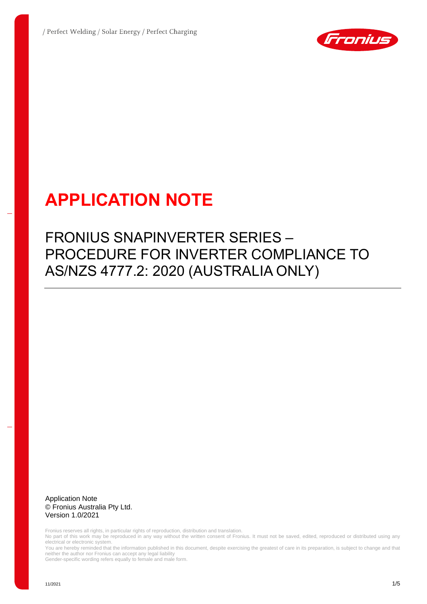

# **APPLICATION NOTE**

## FRONIUS SNAPINVERTER SERIES – PROCEDURE FOR INVERTER COMPLIANCE TO AS/NZS 4777.2: 2020 (AUSTRALIA ONLY)

Application Note © Fronius Australia Pty Ltd. Version 1.0/2021

Fronius reserves all rights, in particular rights of reproduction, distribution and translation.

No part of this work may be reproduced in any way without the written consent of Fronius. It must not be saved, edited, reproduced or distributed using any electrical or electronic system.

You are hereby reminded that the information published in this document, despite exercising the greatest of care in its preparation, is subject to change and that neither the author nor Fronius can accept any legal liability

Gender-specific wording refers equally to female and male form.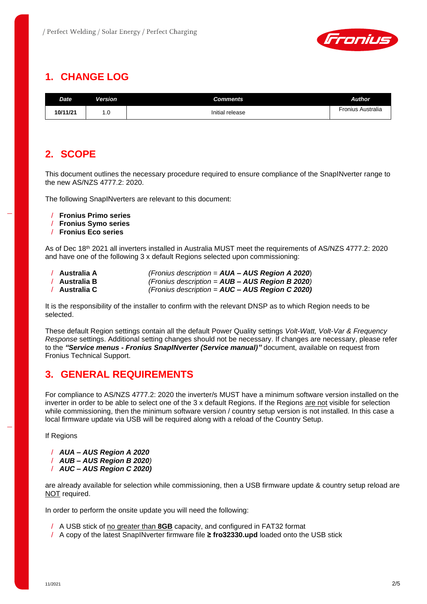

## **1. CHANGE LOG**

| Date.    | Version | Comments        | Author            |
|----------|---------|-----------------|-------------------|
| 10/11/21 | . . U   | Initial release | Fronius Australia |

## **2. SCOPE**

This document outlines the necessary procedure required to ensure compliance of the SnapINverter range to the new AS/NZS 4777.2: 2020.

The following SnapINverters are relevant to this document:

- / **Fronius Primo series**
- / **Fronius Symo series**
- / **Fronius Eco series**

As of Dec 18th 2021 all inverters installed in Australia MUST meet the requirements of AS/NZS 4777.2: 2020 and have one of the following 3 x default Regions selected upon commissioning:

/ **Australia A** *(Fronius description = AUA – AUS Region A 2020*) / **Australia B** *(Fronius description = AUB – AUS Region B 2020)* / **Australia C** *(Fronius description = AUC – AUS Region C 2020)*

It is the responsibility of the installer to confirm with the relevant DNSP as to which Region needs to be selected.

These default Region settings contain all the default Power Quality settings *Volt-Watt, Volt-Var & Frequency Response* settings. Additional setting changes should not be necessary. If changes are necessary, please refer to the *"Service menus - Fronius SnapINverter (Service manual)"* document, available on request from Fronius Technical Support.

## **3. GENERAL REQUIREMENTS**

For compliance to AS/NZS 4777.2: 2020 the inverter/s MUST have a minimum software version installed on the inverter in order to be able to select one of the 3 x default Regions. If the Regions are not visible for selection while commissioning, then the minimum software version / country setup version is not installed. In this case a local firmware update via USB will be required along with a reload of the Country Setup.

If Regions

- / *AUA – AUS Region A 2020*
- / *AUB – AUS Region B 2020)*
- / *AUC – AUS Region C 2020)*

are already available for selection while commissioning, then a USB firmware update & country setup reload are NOT required.

In order to perform the onsite update you will need the following:

- / A USB stick of no greater than **8GB** capacity, and configured in FAT32 format
- / A copy of the latest SnapINverter firmware file **≥ fro32330.upd** loaded onto the USB stick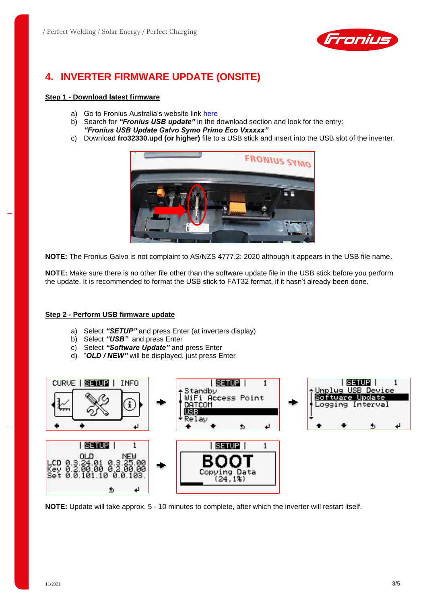

## **4. INVERTER FIRMWARE UPDATE (ONSITE)**

#### **Step 1 - Download latest firmware**

- a) Go to Fronius Australia's website link [here](https://www.fronius.com/en-au/australia/solar-energy/downloads)
- b) Search for *"Fronius USB update"* in the download section and look for the entry: *"Fronius USB Update Galvo Symo Primo Eco Vxxxxx"*
- c) Download **fro32330.upd (or higher)** file to a USB stick and insert into the USB slot of the inverter.



**NOTE:** The Fronius Galvo is not complaint to AS/NZS 4777.2: 2020 although it appears in the USB file name.

**NOTE:** Make sure there is no other file other than the software update file in the USB stick before you perform the update. It is recommended to format the USB stick to FAT32 format, if it hasn't already been done.

#### **Step 2 - Perform USB firmware update**

- a) Select *"SETUP"* and press Enter (at inverters display)
- b) Select *"USB"* and press Enter
- c) Select *"Software Update"* and press Enter
- d) "*OLD / NEW"* will be displayed, just press Enter



**NOTE:** Update will take approx. 5 - 10 minutes to complete, after which the inverter will restart itself.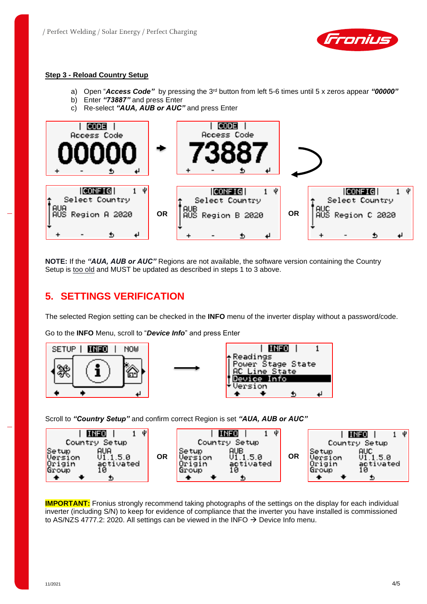

#### **Step 3 - Reload Country Setup**

- a) Open "*Access Code"* by pressing the 3rd button from left 5-6 times until 5 x zeros appear *"00000"*
- b) Enter *"73887"* and press Enter
- c) Re-select *"AUA, AUB or AUC"* and press Enter



**NOTE:** If the *"AUA, AUB or AUC"* Regions are not available, the software version containing the Country Setup is too old and MUST be updated as described in steps 1 to 3 above.

## **5. SETTINGS VERIFICATION**

The selected Region setting can be checked in the **INFO** menu of the inverter display without a password/code.

Go to the **INFO** Menu, scroll to "*Device Info*" and press Enter



Scroll to *"Country Setup"* and confirm correct Region is set *"AUA, AUB or AUC"*



**IMPORTANT:** Fronius strongly recommend taking photographs of the settings on the display for each individual inverter (including S/N) to keep for evidence of compliance that the inverter you have installed is commissioned to AS/NZS 4777.2: 2020. All settings can be viewed in the INFO  $\rightarrow$  Device Info menu.